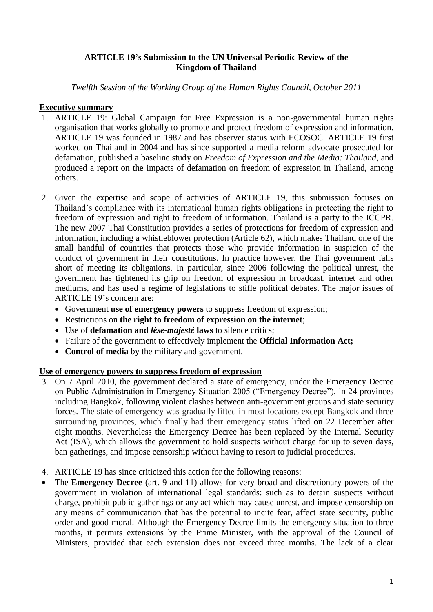### **ARTICLE 19's Submission to the UN Universal Periodic Review of the Kingdom of Thailand**

*Twelfth Session of the Working Group of the Human Rights Council, October 2011*

# **Executive summary**

- 1. ARTICLE 19: Global Campaign for Free Expression is a non-governmental human rights organisation that works globally to promote and protect freedom of expression and information. ARTICLE 19 was founded in 1987 and has observer status with ECOSOC. ARTICLE 19 first worked on Thailand in 2004 and has since supported a media reform advocate prosecuted for defamation, published a baseline study on *Freedom of Expression and the Media: Thailand*, and produced a report on the impacts of defamation on freedom of expression in Thailand, among others.
- 2. Given the expertise and scope of activities of ARTICLE 19, this submission focuses on Thailand's compliance with its international human rights obligations in protecting the right to freedom of expression and right to freedom of information. Thailand is a party to the ICCPR. The new 2007 Thai Constitution provides a series of protections for freedom of expression and information, including a whistleblower protection (Article 62), which makes Thailand one of the small handful of countries that protects those who provide information in suspicion of the conduct of government in their constitutions. In practice however, the Thai government falls short of meeting its obligations. In particular, since 2006 following the political unrest, the government has tightened its grip on freedom of expression in broadcast, internet and other mediums, and has used a regime of legislations to stifle political debates. The major issues of ARTICLE 19's concern are:
	- Government **use of emergency powers** to suppress freedom of expression;
	- Restrictions on **the right to freedom of expression on the internet**;
	- Use of **defamation and** *lèse-majesté* **laws** to silence critics;
	- Failure of the government to effectively implement the **Official Information Act;**
	- **Control of media** by the military and government.

# **Use of emergency powers to suppress freedom of expression**

- 3. On 7 April 2010, the government declared a state of emergency, under the Emergency Decree on Public Administration in Emergency Situation 2005 ("Emergency Decree"), in 24 provinces including Bangkok, following violent clashes between anti-government groups and state security forces. The state of emergency was gradually lifted in most locations except Bangkok and three surrounding provinces, which finally had their emergency status lifted on 22 December after eight months. Nevertheless the Emergency Decree has been replaced by the Internal Security Act (ISA), which allows the government to hold suspects without charge for up to seven days, ban gatherings, and impose censorship without having to resort to judicial procedures.
- 4. ARTICLE 19 has since criticized this action for the following reasons:
- The **Emergency Decree** (art. 9 and 11) allows for very broad and discretionary powers of the government in violation of international legal standards: such as to detain suspects without charge, prohibit public gatherings or any act which may cause unrest, and impose censorship on any means of communication that has the potential to incite fear, affect state security, public order and good moral. Although the Emergency Decree limits the emergency situation to three months, it permits extensions by the Prime Minister, with the approval of the Council of Ministers, provided that each extension does not exceed three months. The lack of a clear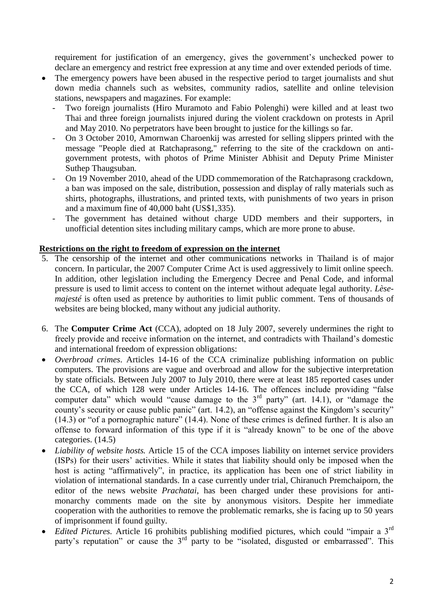requirement for justification of an emergency, gives the government's unchecked power to declare an emergency and restrict free expression at any time and over extended periods of time.

- The emergency powers have been abused in the respective period to target journalists and shut down media channels such as websites, community radios, satellite and online television stations, newspapers and magazines. For example:
	- Two foreign journalists (Hiro Muramoto and Fabio Polenghi) were killed and at least two Thai and three foreign journalists injured during the violent crackdown on protests in April and May 2010. No perpetrators have been brought to justice for the killings so far.
	- On 3 October 2010, Amornwan Charoenkij was arrested for selling slippers printed with the message "People died at Ratchaprasong," referring to the site of the crackdown on antigovernment protests, with photos of Prime Minister Abhisit and Deputy Prime Minister Suthep Thaugsuban.
	- On 19 November 2010, ahead of the UDD commemoration of the Ratchaprasong crackdown, a ban was imposed on the sale, distribution, possession and display of rally materials such as shirts, photographs, illustrations, and printed texts, with punishments of two years in prison and a maximum fine of 40,000 baht (US\$1,335).
	- The government has detained without charge UDD members and their supporters, in unofficial detention sites including military camps, which are more prone to abuse.

#### **Restrictions on the right to freedom of expression on the internet**

- 5. The censorship of the internet and other communications networks in Thailand is of major concern. In particular, the 2007 Computer Crime Act is used aggressively to limit online speech. In addition, other legislation including the Emergency Decree and Penal Code, and informal pressure is used to limit access to content on the internet without adequate legal authority. *Lèsemajesté* is often used as pretence by authorities to limit public comment. Tens of thousands of websites are being blocked, many without any judicial authority.
- 6. The **Computer Crime Act** (CCA), adopted on 18 July 2007, severely undermines the right to freely provide and receive information on the internet, and contradicts with Thailand's domestic and international freedom of expression obligations:
- *Overbroad crimes*. Articles 14-16 of the CCA criminalize publishing information on public computers. The provisions are vague and overbroad and allow for the subjective interpretation by state officials. Between July 2007 to July 2010, there were at least 185 reported cases under the CCA, of which 128 were under Articles 14-16. The offences include providing "false computer data" which would "cause damage to the 3<sup>rd</sup> party" (art. 14.1), or "damage the county's security or cause public panic" (art. 14.2), an "offense against the Kingdom's security" (14.3) or "of a pornographic nature" (14.4). None of these crimes is defined further. It is also an offense to forward information of this type if it is "already known" to be one of the above categories. (14.5)
- *Liability of website hosts.* Article 15 of the CCA imposes liability on internet service providers (ISPs) for their users' activities. While it states that liability should only be imposed when the host is acting "affirmatively", in practice, its application has been one of strict liability in violation of international standards. In a case currently under trial, Chiranuch Premchaiporn, the editor of the news website *Prachatai*, has been charged under these provisions for antimonarchy comments made on the site by anonymous visitors. Despite her immediate cooperation with the authorities to remove the problematic remarks, she is facing up to 50 years of imprisonment if found guilty.
- *Edited Pictures.* Article 16 prohibits publishing modified pictures, which could "impair a 3<sup>rd</sup> party's reputation" or cause the  $3<sup>rd</sup>$  party to be "isolated, disgusted or embarrassed". This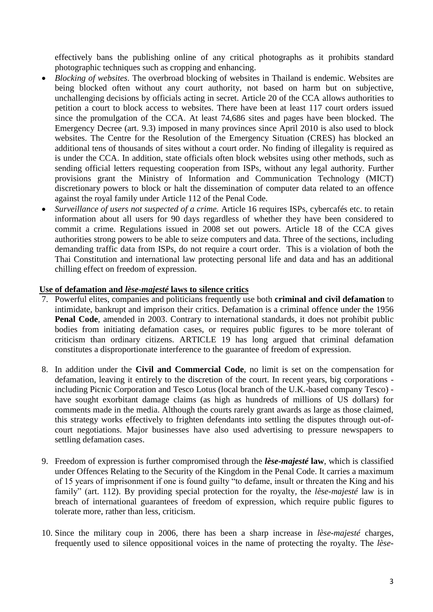effectively bans the publishing online of any critical photographs as it prohibits standard photographic techniques such as cropping and enhancing.

- *Blocking of websites*. The overbroad blocking of websites in Thailand is endemic. Websites are being blocked often without any court authority, not based on harm but on subjective, unchallenging decisions by officials acting in secret. Article 20 of the CCA allows authorities to petition a court to block access to websites. There have been at least 117 court orders issued since the promulgation of the CCA. At least 74,686 sites and pages have been blocked. The Emergency Decree (art. 9.3) imposed in many provinces since April 2010 is also used to block websites. The Centre for the Resolution of the Emergency Situation (CRES) has blocked an additional tens of thousands of sites without a court order. No finding of illegality is required as is under the CCA. In addition, state officials often block websites using other methods, such as sending official letters requesting cooperation from ISPs, without any legal authority. Further provisions grant the Ministry of Information and Communication Technology (MICT) discretionary powers to block or halt the dissemination of computer data related to an offence against the royal family under Article 112 of the Penal Code.
- *Surveillance of users not suspected of a crime.* Article 16 requires ISPs, cybercafés etc. to retain information about all users for 90 days regardless of whether they have been considered to commit a crime. Regulations issued in 2008 set out powers. Article 18 of the CCA gives authorities strong powers to be able to seize computers and data. Three of the sections, including demanding traffic data from ISPs, do not require a court order. This is a violation of both the Thai Constitution and international law protecting personal life and data and has an additional chilling effect on freedom of expression.

#### **Use of defamation and** *lèse-majesté* **laws to silence critics**

- 7. Powerful elites, companies and politicians frequently use both **criminal and civil defamation** to intimidate, bankrupt and imprison their critics. Defamation is a criminal offence under the 1956 **Penal Code**, amended in 2003. Contrary to international standards, it does not prohibit public bodies from initiating defamation cases, or requires public figures to be more tolerant of criticism than ordinary citizens. ARTICLE 19 has long argued that criminal defamation constitutes a disproportionate interference to the guarantee of freedom of expression.
- 8. In addition under the **Civil and Commercial Code**, no limit is set on the compensation for defamation, leaving it entirely to the discretion of the court. In recent years, big corporations including Picnic Corporation and Tesco Lotus (local branch of the U.K.-based company Tesco) have sought exorbitant damage claims (as high as hundreds of millions of US dollars) for comments made in the media. Although the courts rarely grant awards as large as those claimed, this strategy works effectively to frighten defendants into settling the disputes through out-ofcourt negotiations. Major businesses have also used advertising to pressure newspapers to settling defamation cases.
- 9. Freedom of expression is further compromised through the *lèse-majesté* **law**, which is classified under Offences Relating to the Security of the Kingdom in the Penal Code. It carries a maximum of 15 years of imprisonment if one is found guilty "to defame, insult or threaten the King and his family" (art. 112). By providing special protection for the royalty, the *lèse-majesté* law is in breach of international guarantees of freedom of expression, which require public figures to tolerate more, rather than less, criticism.
- 10. Since the military coup in 2006, there has been a sharp increase in *lèse-majesté* charges, frequently used to silence oppositional voices in the name of protecting the royalty. The *lèse-*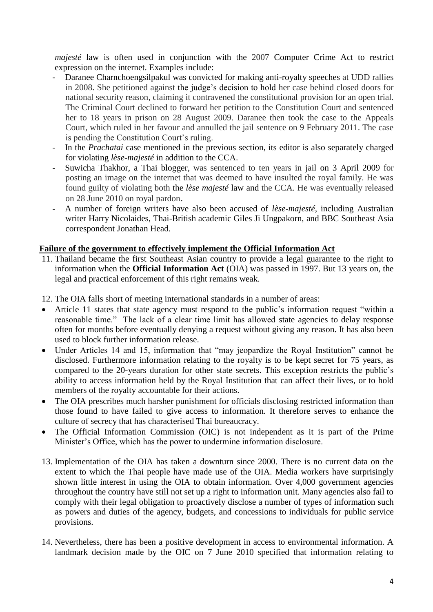*majesté* law is often used in conjunction with the 2007 Computer Crime Act to restrict expression on the internet. Examples include:

- Daranee Charnchoengsilpakul was convicted for making anti-royalty speeches at UDD rallies in 2008. She petitioned against the judge's decision to hold her case behind closed doors for national security reason, claiming it contravened the constitutional provision for an open trial. The Criminal Court declined to forward her petition to the Constitution Court and sentenced her to 18 years in prison on 28 August 2009. Daranee then took the case to the Appeals Court, which ruled in her favour and annulled the jail sentence on 9 February 2011. The case is pending the Constitution Court's ruling.
- In the *Prachatai* case mentioned in the previous section, its editor is also separately charged for violating *lèse-majesté* in addition to the CCA.
- Suwicha Thakhor, a Thai blogger, was sentenced to ten years in jail on 3 April 2009 for posting an image on the internet that was deemed to have insulted the royal family. He was found guilty of violating both the *lèse majesté* law and the CCA. He was eventually released on 28 June 2010 on royal pardon.
- A number of foreign writers have also been accused of *lèse-majesté*, including Australian writer Harry Nicolaides, Thai-British academic Giles Ji Ungpakorn, and BBC Southeast Asia correspondent Jonathan Head.

#### **Failure of the government to effectively implement the Official Information Act**

- 11. Thailand became the first Southeast Asian country to provide a legal guarantee to the right to information when the **Official Information Act** (OIA) was passed in 1997. But 13 years on, the legal and practical enforcement of this right remains weak.
- 12. The OIA falls short of meeting international standards in a number of areas:
- Article 11 states that state agency must respond to the public's information request "within a reasonable time." The lack of a clear time limit has allowed state agencies to delay response often for months before eventually denying a request without giving any reason. It has also been used to block further information release.
- Under Articles 14 and 15, information that "may jeopardize the Royal Institution" cannot be disclosed. Furthermore information relating to the royalty is to be kept secret for 75 years, as compared to the 20-years duration for other state secrets. This exception restricts the public's ability to access information held by the Royal Institution that can affect their lives, or to hold members of the royalty accountable for their actions.
- The OIA prescribes much harsher punishment for officials disclosing restricted information than those found to have failed to give access to information. It therefore serves to enhance the culture of secrecy that has characterised Thai bureaucracy.
- The Official Information Commission (OIC) is not independent as it is part of the Prime Minister's Office, which has the power to undermine information disclosure.
- 13. Implementation of the OIA has taken a downturn since 2000. There is no current data on the extent to which the Thai people have made use of the OIA. Media workers have surprisingly shown little interest in using the OIA to obtain information. Over 4,000 government agencies throughout the country have still not set up a right to information unit. Many agencies also fail to comply with their legal obligation to proactively disclose a number of types of information such as powers and duties of the agency, budgets, and concessions to individuals for public service provisions.
- 14. Nevertheless, there has been a positive development in access to environmental information. A landmark decision made by the OIC on 7 June 2010 specified that information relating to